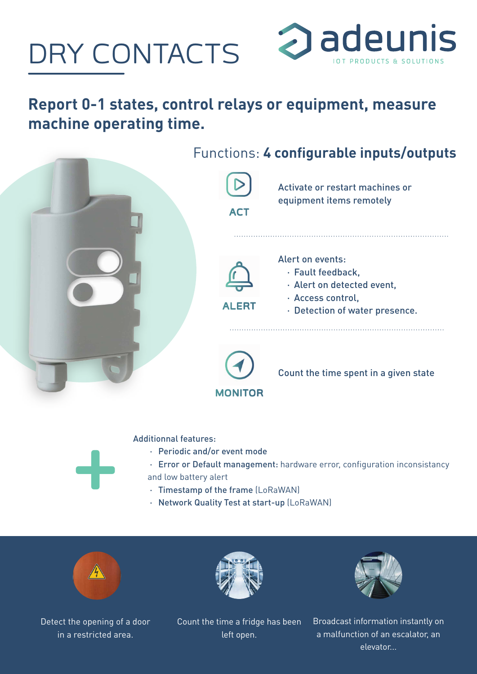# DRY CONTACTS



### **Report 0-1 states, control relays or equipment, measure machine operating time.**



#### Additionnal features:

- · Periodic and/or event mode
- · Error or Default management: hardware error, configuration inconsistancy and low battery alert
- · Timestamp of the frame (LoRaWAN)
- · Network Quality Test at start-up (LoRaWAN)



Detect the opening of a door in a restricted area.

Count the time a fridge has been left open.

Broadcast information instantly on a malfunction of an escalator, an elevator...